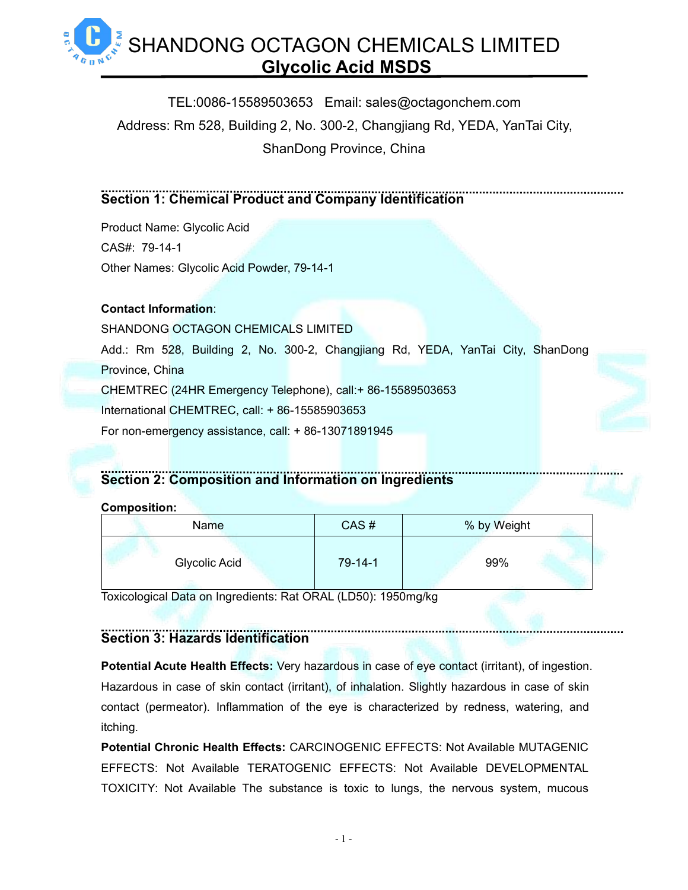> TEL:0086-15589503653 Email: sales@octagonchem.com Address: Rm 528, Building 2, No. 300-2, Changjiang Rd, YEDA, YanTai City, ShanDong Province, China

### **Section 1: Chemical Product and Company Identification**

Product Name: Glycolic Acid CAS#: [79-14-1](https://octagonchem.com/products/supplements/vitamin-d3/) Other Names: Glycolic Acid Powder, 79-14-1

### **Contact Information**:

SHANDONG OCTAGON CHEMICALS LIMITED Add.: Rm 528, Building 2, No. 300-2, Changjiang Rd, YEDA, YanTai City, ShanDong Province, China CHEMTREC (24HR Emergency Telephone), call:+ 86-15589503653 International CHEMTREC, call: + 86-15585903653 For non-emergency assistance, call: + 86-13071891945

# **Section 2: Composition and Information on Ingredients**

### **Composition:**

| <b>Name</b>   | CAS#          | % by Weight |
|---------------|---------------|-------------|
| Glycolic Acid | $79 - 14 - 1$ | 99%         |

Toxicological Data on Ingredients: Rat ORAL (LD50): 1950mg/kg

# **Section 3: Hazards Identification**

**Potential Acute Health Effects:** Very hazardous in case of eye contact (irritant), of ingestion. Hazardous in case of skin contact (irritant), of inhalation. Slightly hazardous in case of skin contact (permeator). Inflammation of the eye is characterized by redness, watering, and itching.

**Potential Chronic Health Effects:** CARCINOGENIC EFFECTS: Not Available MUTAGENIC EFFECTS: Not Available TERATOGENIC EFFECTS: Not Available DEVELOPMENTAL TOXICITY: Not Available The substance is toxic to lungs, the nervous system, mucous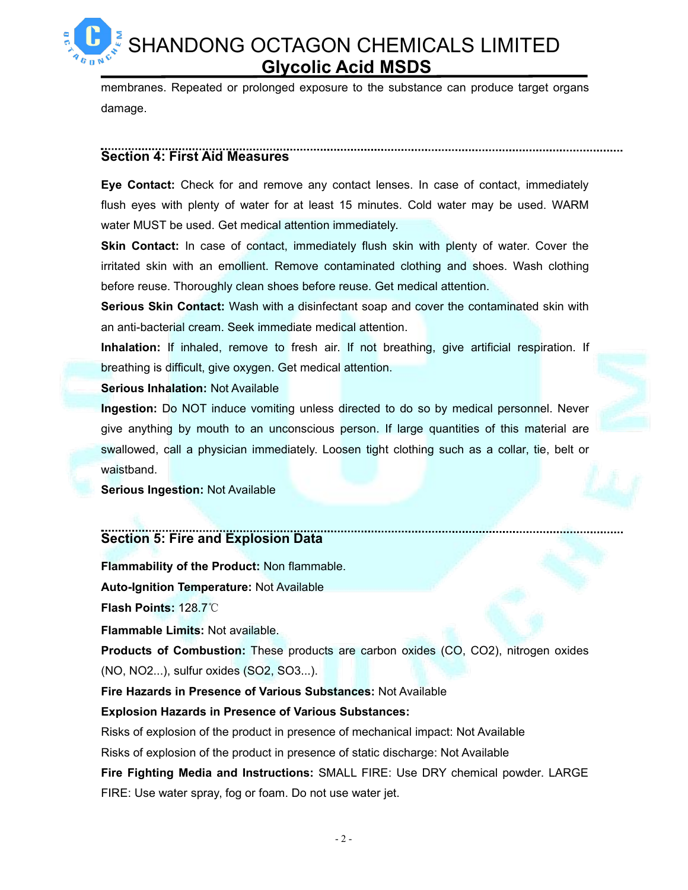membranes. Repeated or prolonged exposure to the substance can produce target organs damage.

### **Section 4: First Aid Measures**

**Eye Contact:** Check for and remove any contact lenses. In case of contact, immediately flush eyes with plenty of water for at least 15 minutes. Cold water may be used. WARM water MUST be used. Get medical attention immediately.

**Skin Contact:** In case of contact, immediately flush skin with plenty of water. Cover the irritated skin with an emollient. Remove contaminated clothing and shoes. Wash clothing before reuse. Thoroughly clean shoes before reuse. Get medical attention.

**Serious Skin Contact:** Wash with a disinfectant soap and cover the contaminated skin with an anti-bacterial cream. Seek immediate medical attention.

**Inhalation:** If inhaled, remove to fresh air. If not breathing, give artificial respiration. If breathing is difficult, give oxygen. Get medical attention.

### **Serious Inhalation:** Not Available

**Ingestion:** Do NOT induce vomiting unless directed to do so by medical personnel. Never give anything by mouth to an unconscious person. If large quantities of this material are swallowed, call a physician immediately. Loosen tight clothing such as a collar, tie, belt or waistband.

**Serious Ingestion:** Not Available

# **Section 5: Fire and Explosion Data**

**Flammability of the Product:** Non flammable. **Auto-Ignition Temperature:** Not Available

**Flash Points:** 128.7℃

**Flammable Limits:** Not available.

**Products of Combustion:** These products are carbon oxides (CO, CO2), nitrogen oxides (NO, NO2...), sulfur oxides (SO2, SO3...).

**Fire Hazards in Presence of Various Substances:** Not Available

### **Explosion Hazards in Presence of Various Substances:**

Risks of explosion of the product in presence of mechanical impact: Not Available

Risks of explosion of the product in presence of static discharge: Not Available

**Fire Fighting Media and Instructions:** SMALL FIRE: Use DRY chemical powder. LARGE FIRE: Use water spray, fog or foam. Do not use water jet.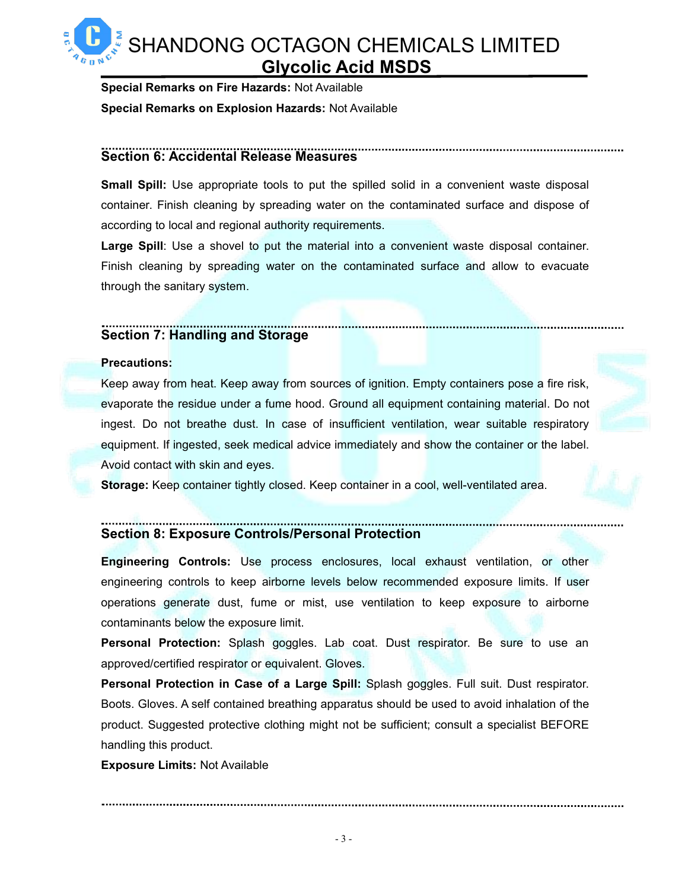**Special Remarks on Fire Hazards:** Not Available **Special Remarks on Explosion Hazards: Not Available** 

### **Section 6: Accidental Release Measures**

**Small Spill:** Use appropriate tools to put the spilled solid in a convenient waste disposal container. Finish cleaning by spreading water on the contaminated surface and dispose of according to local and regional authority requirements.

**Large Spill**: Use a shovel to put the material into a convenient waste disposal container. Finish cleaning by spreading water on the contaminated surface and allow to evacuate through the sanitary system.

# **Section 7: Handling and Storage**

### **Precautions:**

Keep away from heat. Keep away from sources of ignition. Empty containers pose a fire risk, evaporate the residue under a fume hood. Ground all equipment containing material. Do not ingest. Do not breathe dust. In case of insufficient ventilation, wear suitable respiratory equipment. If ingested, seek medical advice immediately and show the container or the label. Avoid contact with skin and eyes.

**Storage:** Keep container tightly closed. Keep container in a cool, well-ventilated area.

# **Section 8: Exposure Controls/Personal Protection**

**Engineering Controls:**Use process enclosures, local exhaust ventilation, or other engineering controls to keep airborne levels below recommended exposure limits. If user operations generate dust, fume or mist, use ventilation to keep exposure to airborne contaminants below the exposure limit.

**Personal Protection:** Splash goggles. Lab coat. Dust respirator. Be sure to use an approved/certified respirator or equivalent. Gloves.

**Personal Protection in Case of a Large Spill:** Splash goggles. Full suit. Dust respirator. Boots. Gloves. A self contained breathing apparatus should be used to avoid inhalation of the product. Suggested protective clothing might not be sufficient; consult a specialist BEFORE handling this product.

**Exposure Limits:** Not Available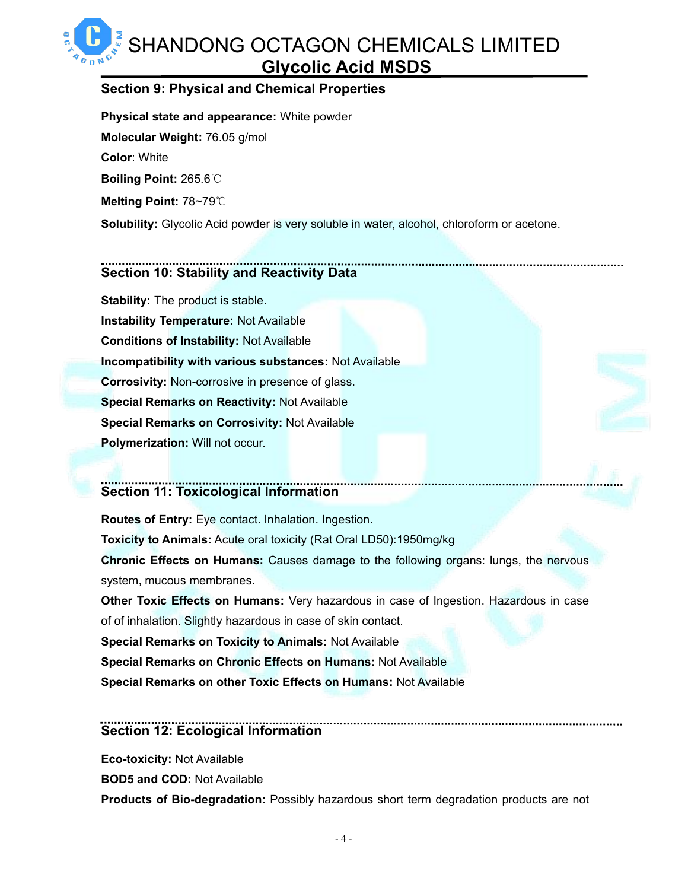### **Section 9: Physical and Chemical Properties**

**Physical state and appearance:** White powder **Molecular Weight:** 76.05 g/mol **Color**: White **Boiling Point:** 265.6℃ **Melting Point:** 78~79℃ **Solubility:** Glycolic Acid powder is very soluble in water, alcohol, chloroform or acetone.

### **Section 10: Stability and Reactivity Data**

**Stability:** The product is stable. **Instability Temperature:** Not Available **Conditions of Instability:** Not Available **Incompatibility with various substances:** Not Available **Corrosivity:** Non-corrosive in presence of glass. **Special Remarks on Reactivity:** Not Available **Special Remarks on Corrosivity:** Not Available **Polymerization:** Will not occur.

# **Section 11: Toxicological Information**

**Routes of Entry:** Eye contact. Inhalation. Ingestion. **Toxicity to Animals:** Acute oral toxicity (Rat Oral LD50):1950mg/kg **Chronic Effects on Humans:** Causes damage to the following organs: lungs, the nervous system, mucous membranes. **Other Toxic Effects on Humans:** Very hazardous in case of Ingestion. Hazardous in case

of of inhalation. Slightly hazardous in case of skin contact.

**Special Remarks on Toxicity to Animals: Not Available** 

**Special Remarks on Chronic Effects on Humans:** Not Available

**Special Remarks on other Toxic Effects on Humans:** Not Available

### **Section 12: Ecological Information**

**Eco-toxicity:** Not Available

**BOD5 and COD:** Not Available

**Products of Bio-degradation:** Possibly hazardous short term degradation products are not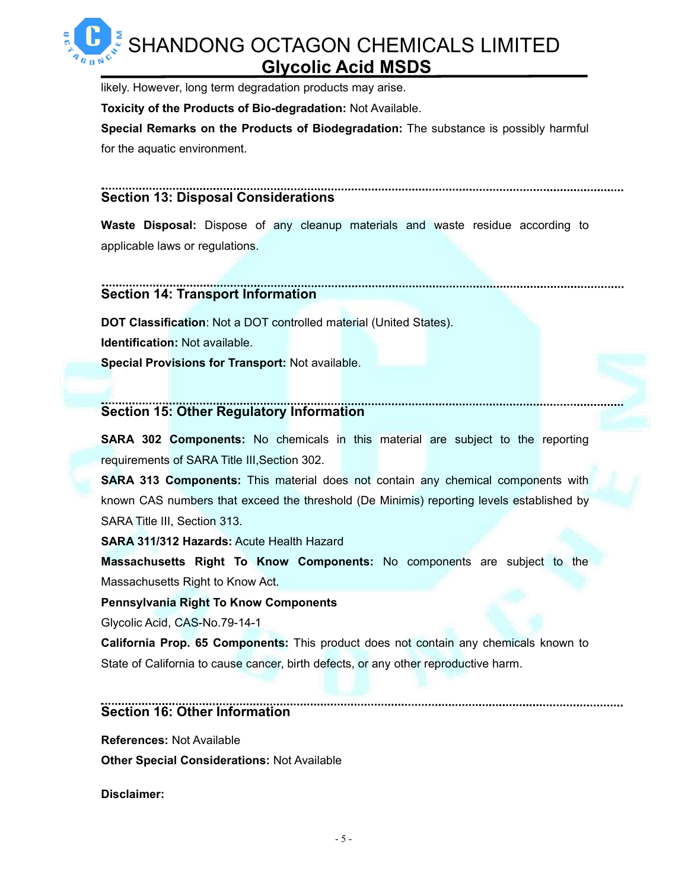likely. However, long term degradation products may arise.

**Toxicity of the Products of Bio-degradation:** Not Available.

**Special Remarks on the Products of Biodegradation:** The substance is possibly harmful for the aquatic environment.

### **Section 13: Disposal Considerations**

**Waste Disposal:** Dispose of any cleanup materials and waste residue according to applicable laws or regulations.

#### ........................ **Section 14: Transport Information**

**DOT Classification**: Not a DOT controlled material (United States). **Identification:** Not available.

**Special Provisions for Transport:** Not available.

### **Section 15: Other Regulatory Information**

**SARA 302 Components:** No chemicals in this material are subject to the reporting requirements of SARA Title III,Section 302.

**SARA 313 Components:** This material does not contain any chemical components with known CAS numbers that exceed the threshold (De Minimis) reporting levels established by SARA Title III, Section 313.

**SARA 311/312 Hazards:** Acute Health Hazard

**Massachusetts Right To Know Components:** No components are subject to the Massachusetts Right to Know Act.

### **Pennsylvania Right To Know Components**

Glycolic Acid, CAS-No.79-14-1

**California Prop. 65 Components:** This product does not contain any chemicals known to State of California to cause cancer, birth defects, or any other reproductive harm.

### **Section 16: Other Information**

**References:** Not Available

**Other Special Considerations:** Not Available

**Disclaimer:**